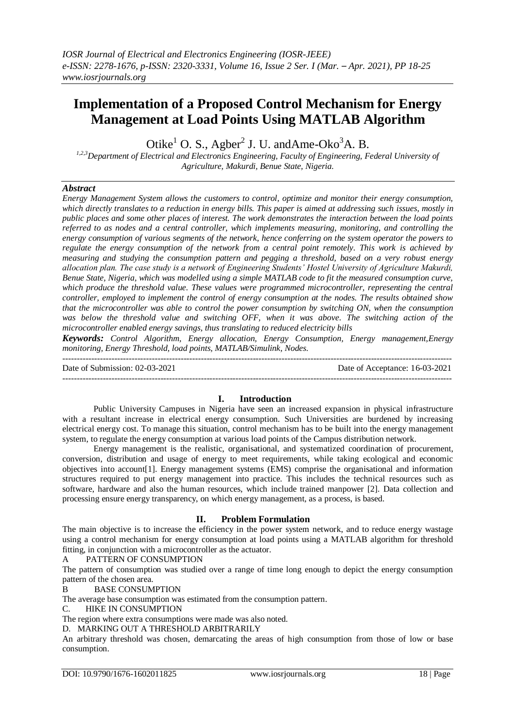# **Implementation of a Proposed Control Mechanism for Energy Management at Load Points Using MATLAB Algorithm**

Otike<sup>1</sup> O. S., Agber<sup>2</sup> J. U. and Ame-Oko<sup>3</sup>A. B.

*1,2,3Department of Electrical and Electronics Engineering, Faculty of Engineering, Federal University of Agriculture, Makurdi, Benue State, Nigeria.*

# *Abstract*

*Energy Management System allows the customers to control, optimize and monitor their energy consumption, which directly translates to a reduction in energy bills. This paper is aimed at addressing such issues, mostly in public places and some other places of interest. The work demonstrates the interaction between the load points referred to as nodes and a central controller, which implements measuring, monitoring, and controlling the energy consumption of various segments of the network, hence conferring on the system operator the powers to regulate the energy consumption of the network from a central point remotely. This work is achieved by measuring and studying the consumption pattern and pegging a threshold, based on a very robust energy allocation plan. The case study is a network of Engineering Students' Hostel University of Agriculture Makurdi, Benue State, Nigeria, which was modelled using a simple MATLAB code to fit the measured consumption curve, which produce the threshold value. These values were programmed microcontroller, representing the central controller, employed to implement the control of energy consumption at the nodes. The results obtained show that the microcontroller was able to control the power consumption by switching ON, when the consumption was below the threshold value and switching OFF, when it was above. The switching action of the microcontroller enabled energy savings, thus translating to reduced electricity bills*

*Keywords: Control Algorithm, Energy allocation, Energy Consumption, Energy management,Energy monitoring, Energy Threshold, load points, MATLAB/Simulink, Nodes.*

Date of Submission: 02-03-2021 Date of Acceptance: 16-03-2021 ---------------------------------------------------------------------------------------------------------------------------------------

 $-1.1$ 

# **I. Introduction**

Public University Campuses in Nigeria have seen an increased expansion in physical infrastructure with a resultant increase in electrical energy consumption. Such Universities are burdened by increasing electrical energy cost. To manage this situation, control mechanism has to be built into the energy management system, to regulate the energy consumption at various load points of the Campus distribution network.

Energy management is the realistic, organisational, and systematized coordination of procurement, conversion, distribution and usage of energy to meet requirements, while taking ecological and economic objectives into account[1]. Energy management systems (EMS) comprise the organisational and information structures required to put energy management into practice. This includes the technical resources such as software, hardware and also the human resources, which include trained manpower [2]. Data collection and processing ensure energy transparency, on which energy management, as a process, is based.

# **II. Problem Formulation**

The main objective is to increase the efficiency in the power system network, and to reduce energy wastage using a control mechanism for energy consumption at load points using a MATLAB algorithm for threshold fitting, in conjunction with a microcontroller as the actuator.

A PATTERN OF CONSUMPTION

The pattern of consumption was studied over a range of time long enough to depict the energy consumption pattern of the chosen area.

B BASE CONSUMPTION

The average base consumption was estimated from the consumption pattern.

C. HIKE IN CONSUMPTION

The region where extra consumptions were made was also noted.

D. MARKING OUT A THRESHOLD ARBITRARILY

An arbitrary threshold was chosen, demarcating the areas of high consumption from those of low or base consumption.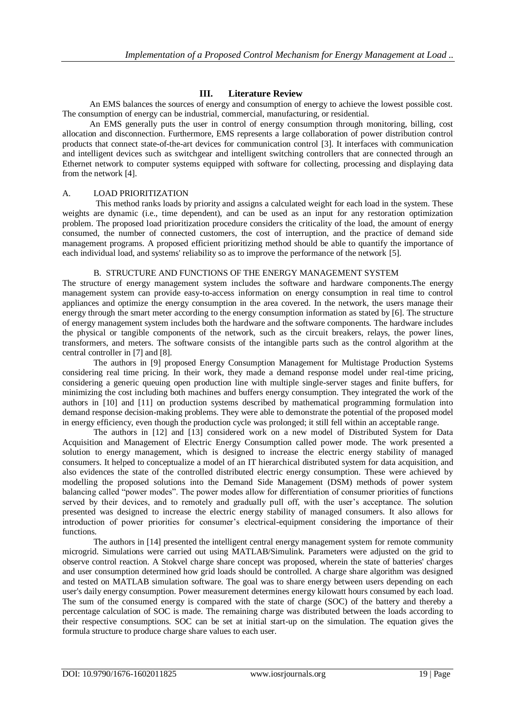# **III. Literature Review**

An EMS balances the sources of energy and consumption of energy to achieve the lowest possible cost. The consumption of energy can be industrial, commercial, manufacturing, or residential.

An EMS generally puts the user in control of energy consumption through monitoring, billing, cost allocation and disconnection. Furthermore, EMS represents a large collaboration of power distribution control products that connect state-of-the-art devices for communication control [3]. It interfaces with communication and intelligent devices such as switchgear and intelligent switching controllers that are connected through an Ethernet network to computer systems equipped with software for collecting, processing and displaying data from the network [4].

#### A. LOAD PRIORITIZATION

This method ranks loads by priority and assigns a calculated weight for each load in the system. These weights are dynamic (i.e., time dependent), and can be used as an input for any restoration optimization problem. The proposed load prioritization procedure considers the criticality of the load, the amount of energy consumed, the number of connected customers, the cost of interruption, and the practice of demand side management programs. A proposed efficient prioritizing method should be able to quantify the importance of each individual load, and systems' reliability so as to improve the performance of the network [5].

# B. STRUCTURE AND FUNCTIONS OF THE ENERGY MANAGEMENT SYSTEM

The structure of energy management system includes the software and hardware components.The energy management system can provide easy-to-access information on energy consumption in real time to control appliances and optimize the energy consumption in the area covered. In the network, the users manage their energy through the smart meter according to the energy consumption information as stated by [6]. The structure of energy management system includes both the hardware and the software components. The hardware includes the physical or tangible components of the network, such as the circuit breakers, relays, the power lines, transformers, and meters. The software consists of the intangible parts such as the control algorithm at the central controller in [7] and [8].

The authors in [9] proposed Energy Consumption Management for Multistage Production Systems considering real time pricing. In their work, they made a demand response model under real-time pricing, considering a generic queuing open production line with multiple single-server stages and finite buffers, for minimizing the cost including both machines and buffers energy consumption. They integrated the work of the authors in [10] and [11] on production systems described by mathematical programming formulation into demand response decision-making problems. They were able to demonstrate the potential of the proposed model in energy efficiency, even though the production cycle was prolonged; it still fell within an acceptable range.

The authors in [12] and [13] considered work on a new model of Distributed System for Data Acquisition and Management of Electric Energy Consumption called power mode. The work presented a solution to energy management, which is designed to increase the electric energy stability of managed consumers. It helped to conceptualize a model of an IT hierarchical distributed system for data acquisition, and also evidences the state of the controlled distributed electric energy consumption. These were achieved by modelling the proposed solutions into the Demand Side Management (DSM) methods of power system balancing called "power modes". The power modes allow for differentiation of consumer priorities of functions served by their devices, and to remotely and gradually pull off, with the user's acceptance. The solution presented was designed to increase the electric energy stability of managed consumers. It also allows for introduction of power priorities for consumer's electrical-equipment considering the importance of their functions.

The authors in [14] presented the intelligent central energy management system for remote community microgrid. Simulations were carried out using MATLAB/Simulink. Parameters were adjusted on the grid to observe control reaction. A Stokvel charge share concept was proposed, wherein the state of batteries' charges and user consumption determined how grid loads should be controlled. A charge share algorithm was designed and tested on MATLAB simulation software. The goal was to share energy between users depending on each user's daily energy consumption. Power measurement determines energy kilowatt hours consumed by each load. The sum of the consumed energy is compared with the state of charge (SOC) of the battery and thereby a percentage calculation of SOC is made. The remaining charge was distributed between the loads according to their respective consumptions. SOC can be set at initial start-up on the simulation. The equation gives the formula structure to produce charge share values to each user.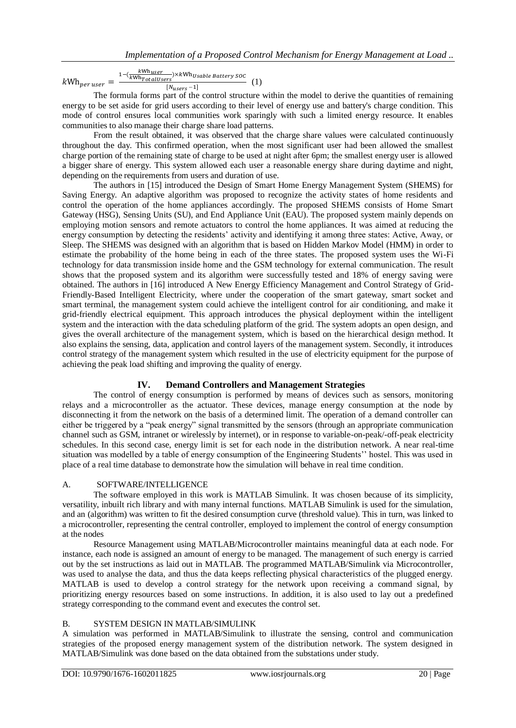$kWh_{per\, user} =$  $1-(\frac{k}{kWh})$  $\frac{1}{1}$  XkWh<sub>Usable</sub> Battery SOC (1)  $[N<sub>users</sub>-1]$ 

The formula forms part of the control structure within the model to derive the quantities of remaining energy to be set aside for grid users according to their level of energy use and battery's charge condition. This mode of control ensures local communities work sparingly with such a limited energy resource. It enables communities to also manage their charge share load patterns.

From the result obtained, it was observed that the charge share values were calculated continuously throughout the day. This confirmed operation, when the most significant user had been allowed the smallest charge portion of the remaining state of charge to be used at night after 6pm; the smallest energy user is allowed a bigger share of energy. This system allowed each user a reasonable energy share during daytime and night, depending on the requirements from users and duration of use.

The authors in [15] introduced the Design of Smart Home Energy Management System (SHEMS) for Saving Energy. An adaptive algorithm was proposed to recognize the activity states of home residents and control the operation of the home appliances accordingly. The proposed SHEMS consists of Home Smart Gateway (HSG), Sensing Units (SU), and End Appliance Unit (EAU). The proposed system mainly depends on employing motion sensors and remote actuators to control the home appliances. It was aimed at reducing the energy consumption by detecting the residents' activity and identifying it among three states: Active, Away, or Sleep. The SHEMS was designed with an algorithm that is based on Hidden Markov Model (HMM) in order to estimate the probability of the home being in each of the three states. The proposed system uses the Wi-Fi technology for data transmission inside home and the GSM technology for external communication. The result shows that the proposed system and its algorithm were successfully tested and 18% of energy saving were obtained. The authors in [16] introduced A New Energy Efficiency Management and Control Strategy of Grid-Friendly-Based Intelligent Electricity, where under the cooperation of the smart gateway, smart socket and smart terminal, the management system could achieve the intelligent control for air conditioning, and make it grid-friendly electrical equipment. This approach introduces the physical deployment within the intelligent system and the interaction with the data scheduling platform of the grid. The system adopts an open design, and gives the overall architecture of the management system, which is based on the hierarchical design method. It also explains the sensing, data, application and control layers of the management system. Secondly, it introduces control strategy of the management system which resulted in the use of electricity equipment for the purpose of achieving the peak load shifting and improving the quality of energy.

# **IV. Demand Controllers and Management Strategies**

The control of energy consumption is performed by means of devices such as sensors, monitoring relays and a microcontroller as the actuator. These devices, manage energy consumption at the node by disconnecting it from the network on the basis of a determined limit. The operation of a demand controller can either be triggered by a "peak energy" signal transmitted by the sensors (through an appropriate communication channel such as GSM, intranet or wirelessly by internet), or in response to variable-on-peak/-off-peak electricity schedules. In this second case, energy limit is set for each node in the distribution network. A near real-time situation was modelled by a table of energy consumption of the Engineering Students'' hostel. This was used in place of a real time database to demonstrate how the simulation will behave in real time condition.

# A. SOFTWARE/INTELLIGENCE

The software employed in this work is MATLAB Simulink. It was chosen because of its simplicity, versatility, inbuilt rich library and with many internal functions. MATLAB Simulink is used for the simulation, and an (algorithm) was written to fit the desired consumption curve (threshold value). This in turn, was linked to a microcontroller, representing the central controller, employed to implement the control of energy consumption at the nodes

Resource Management using MATLAB/Microcontroller maintains meaningful data at each node. For instance, each node is assigned an amount of energy to be managed. The management of such energy is carried out by the set instructions as laid out in MATLAB. The programmed MATLAB/Simulink via Microcontroller, was used to analyse the data, and thus the data keeps reflecting physical characteristics of the plugged energy. MATLAB is used to develop a control strategy for the network upon receiving a command signal, by prioritizing energy resources based on some instructions. In addition, it is also used to lay out a predefined strategy corresponding to the command event and executes the control set.

# B. SYSTEM DESIGN IN MATLAB/SIMULINK

A simulation was performed in MATLAB/Simulink to illustrate the sensing, control and communication strategies of the proposed energy management system of the distribution network. The system designed in MATLAB/Simulink was done based on the data obtained from the substations under study.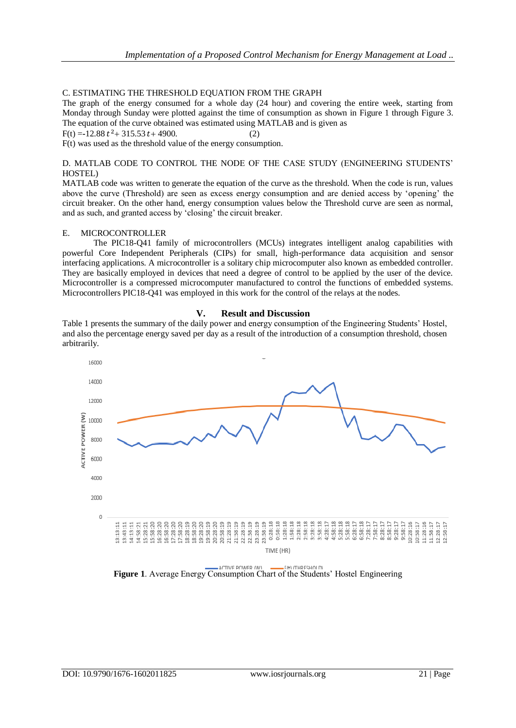# C. ESTIMATING THE THRESHOLD EQUATION FROM THE GRAPH

The graph of the energy consumed for a whole day (24 hour) and covering the entire week, starting from Monday through Sunday were plotted against the time of consumption as shown in Figure 1 through Figure 3. The equation of the curve obtained was estimated using MATLAB and is given as

 $F(t) = -12.88 t^2 + 315.53 t + 4900.$  (2)

F(t) was used as the threshold value of the energy consumption.

#### D. MATLAB CODE TO CONTROL THE NODE OF THE CASE STUDY (ENGINEERING STUDENTS' HOSTEL)

MATLAB code was written to generate the equation of the curve as the threshold. When the code is run, values above the curve (Threshold) are seen as excess energy consumption and are denied access by 'opening' the circuit breaker. On the other hand, energy consumption values below the Threshold curve are seen as normal, and as such, and granted access by 'closing' the circuit breaker.

#### E. MICROCONTROLLER

The PIC18-Q41 family of microcontrollers (MCUs) integrates intelligent analog capabilities with powerful Core Independent Peripherals (CIPs) for small, high-performance data acquisition and sensor interfacing applications. A microcontroller is a solitary chip microcomputer also known as embedded controller. They are basically employed in devices that need a degree of control to be applied by the user of the device. Microcontroller is a compressed microcomputer manufactured to control the functions of embedded systems. Microcontrollers PIC18-Q41 was employed in this work for the control of the relays at the nodes.



Table 1 presents the summary of the daily power and energy consumption of the Engineering Students' Hostel, and also the percentage energy saved per day as a result of the introduction of a consumption threshold, chosen arbitrarily.



**Figure 1**. Average Energy Consumption Chart of the Students' Hostel Engineering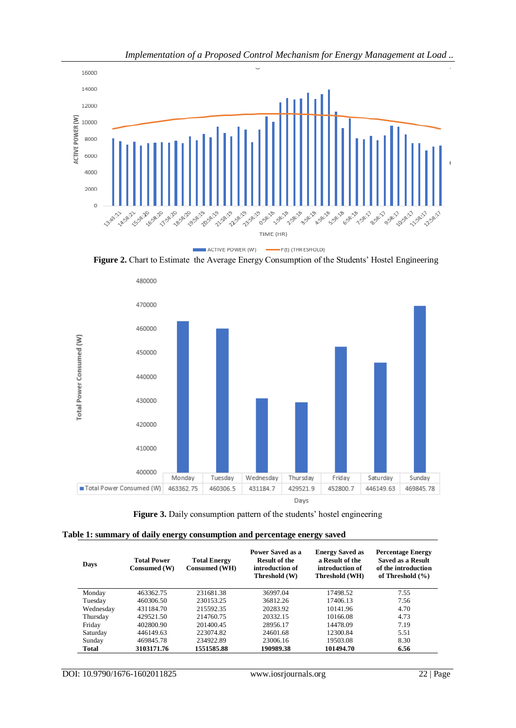

*Implementation of a Proposed Control Mechanism for Energy Management at Load ..*

Figure 2. Chart to Estimate the Average Energy Consumption of the Students' Hostel Engineering



|  |  | Figure 3. Daily consumption pattern of the students' hostel engineering |  |  |  |  |  |  |
|--|--|-------------------------------------------------------------------------|--|--|--|--|--|--|
|--|--|-------------------------------------------------------------------------|--|--|--|--|--|--|

|  |  | Table 1: summary of daily energy consumption and percentage energy saved |
|--|--|--------------------------------------------------------------------------|
|  |  |                                                                          |

| Days         | <b>Total Power</b><br>Consumed (W) | <b>Total Energy</b><br>Consumed (WH) | Power Saved as a<br><b>Result of the</b><br>introduction of<br>Threshold (W) | <b>Energy Saved as</b><br>a Result of the<br>introduction of<br>Threshold (WH) | <b>Percentage Energy</b><br><b>Saved as a Result</b><br>of the introduction<br>of Threshold $(\% )$ |
|--------------|------------------------------------|--------------------------------------|------------------------------------------------------------------------------|--------------------------------------------------------------------------------|-----------------------------------------------------------------------------------------------------|
| Monday       | 463362.75                          | 231681.38                            | 36997.04                                                                     | 17498.52                                                                       | 7.55                                                                                                |
| Tuesday      | 460306.50                          | 230153.25                            | 36812.26                                                                     | 17406.13                                                                       | 7.56                                                                                                |
| Wednesday    | 431184.70                          | 215592.35                            | 20283.92                                                                     | 10141.96                                                                       | 4.70                                                                                                |
| Thursday     | 429521.50                          | 214760.75                            | 20332.15                                                                     | 10166.08                                                                       | 4.73                                                                                                |
| Friday       | 402800.90                          | 201400.45                            | 28956.17                                                                     | 14478.09                                                                       | 7.19                                                                                                |
| Saturday     | 446149.63                          | 223074.82                            | 24601.68                                                                     | 12300.84                                                                       | 5.51                                                                                                |
| Sunday       | 469845.78                          | 234922.89                            | 23006.16                                                                     | 19503.08                                                                       | 8.30                                                                                                |
| <b>Total</b> | 3103171.76                         | 1551585.88                           | 190989.38                                                                    | 101494.70                                                                      | 6.56                                                                                                |

DOI: 10.9790/1676-1602011825 www.iosrjournals.org 22 | Page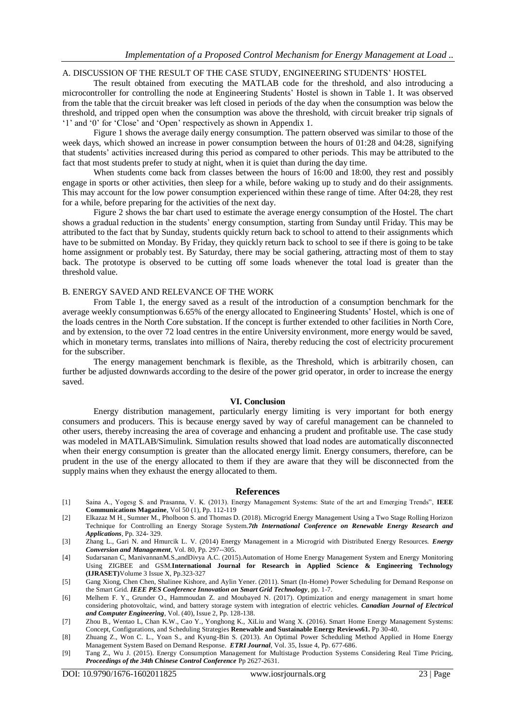#### A. DISCUSSION OF THE RESULT OF THE CASE STUDY, ENGINEERING STUDENTS' HOSTEL

The result obtained from executing the MATLAB code for the threshold, and also introducing a microcontroller for controlling the node at Engineering Students' Hostel is shown in Table 1. It was observed from the table that the circuit breaker was left closed in periods of the day when the consumption was below the threshold, and tripped open when the consumption was above the threshold, with circuit breaker trip signals of '1' and '0' for 'Close' and 'Open' respectively as shown in Appendix 1.

Figure 1 shows the average daily energy consumption. The pattern observed was similar to those of the week days, which showed an increase in power consumption between the hours of 01:28 and 04:28, signifying that students' activities increased during this period as compared to other periods. This may be attributed to the fact that most students prefer to study at night, when it is quiet than during the day time.

When students come back from classes between the hours of 16:00 and 18:00, they rest and possibly engage in sports or other activities, then sleep for a while, before waking up to study and do their assignments. This may account for the low power consumption experienced within these range of time. After 04:28, they rest for a while, before preparing for the activities of the next day.

Figure 2 shows the bar chart used to estimate the average energy consumption of the Hostel. The chart shows a gradual reduction in the students' energy consumption, starting from Sunday until Friday. This may be attributed to the fact that by Sunday, students quickly return back to school to attend to their assignments which have to be submitted on Monday. By Friday, they quickly return back to school to see if there is going to be take home assignment or probably test. By Saturday, there may be social gathering, attracting most of them to stay back. The prototype is observed to be cutting off some loads whenever the total load is greater than the threshold value.

#### B. ENERGY SAVED AND RELEVANCE OF THE WORK

From Table 1, the energy saved as a result of the introduction of a consumption benchmark for the average weekly consumptionwas 6.65% of the energy allocated to Engineering Students' Hostel, which is one of the loads centres in the North Core substation. If the concept is further extended to other facilities in North Core, and by extension, to the over 72 load centres in the entire University environment, more energy would be saved, which in monetary terms, translates into millions of Naira, thereby reducing the cost of electricity procurement for the subscriber.

The energy management benchmark is flexible, as the Threshold, which is arbitrarily chosen, can further be adjusted downwards according to the desire of the power grid operator, in order to increase the energy saved.

#### **VI. Conclusion**

Energy distribution management, particularly energy limiting is very important for both energy consumers and producers. This is because energy saved by way of careful management can be channeled to other users, thereby increasing the area of coverage and enhancing a prudent and profitable use. The case study was modeled in MATLAB/Simulink. Simulation results showed that load nodes are automatically disconnected when their energy consumption is greater than the allocated energy limit. Energy consumers, therefore, can be prudent in the use of the energy allocated to them if they are aware that they will be disconnected from the supply mains when they exhaust the energy allocated to them.

#### **References**

- [1] Saina A., Yogesg S. and Prasanna, V. K. (2013). Energy Management Systems: State of the art and Emerging Trends", **IEEE Communications Magazine**, Vol 50 (1), Pp. 112-119
- [2] Elkazaz M H., Sumner M., Pholboon S. and Thomas D. (2018). Microgrid Energy Management Using a Two Stage Rolling Horizon Technique for Controlling an Energy Storage System.*7th International Conference on Renewable Energy Research and Applications,* Pp. 324- 329.
- [3] Zhang L., Gari N. and Hmurcik L. V. (2014) Energy Management in a Microgrid with Distributed Energy Resources. *Energy Conversion and Management*, Vol. 80, Pp. 297--305.
- [4] Sudarsanan C, ManivannanM.S.,andDivya A.C. (2015).Automation of Home Energy Management System and Energy Monitoring Using ZIGBEE and GSM.**International Journal for Research in Applied Science & Engineering Technology (IJRASET)**Volume 3 Issue X, Pp.323-327
- [5] Gang Xiong, Chen Chen, Shalinee Kishore, and Aylin Yener. (2011). Smart (In-Home) Power Scheduling for Demand Response on the Smart Grid. *IEEE PES Conference Innovation on Smart Grid Technology*, pp. 1-7.
- [6] Melhem F. Y., Grunder O., Hammoudan Z. and Moubayed N. (2017). Optimization and energy management in smart home considering photovoltaic, wind, and battery storage system with integration of electric vehicles. *Canadian Journal of Electrical and Computer Engineering*, Vol. (40), Issue 2, Pp. 128-138.
- [7] Zhou B., Wentao L, Chan K.W., Cao Y., Yonghong K., XiLiu and Wang X. (2016). Smart Home Energy Management Systems: Concept, Configurations, and Scheduling Strategies **Renewable and Sustainable Energy Reviews61.** Pp 30-40.
- [8] Zhuang Z., Won C. L., Yoan S., and Kyung-Bin S. (2013). An Optimal Power Scheduling Method Applied in Home Energy Management System Based on Demand Response. *ETRI Journal*, Vol. 35, Issue 4, Pp. 677-686.
- [9] Tang Z., Wu J. (2015). Energy Consumption Management for Multistage Production Systems Considering Real Time Pricing, *Proceedings of the 34th Chinese Control Conference* Pp 2627-2631.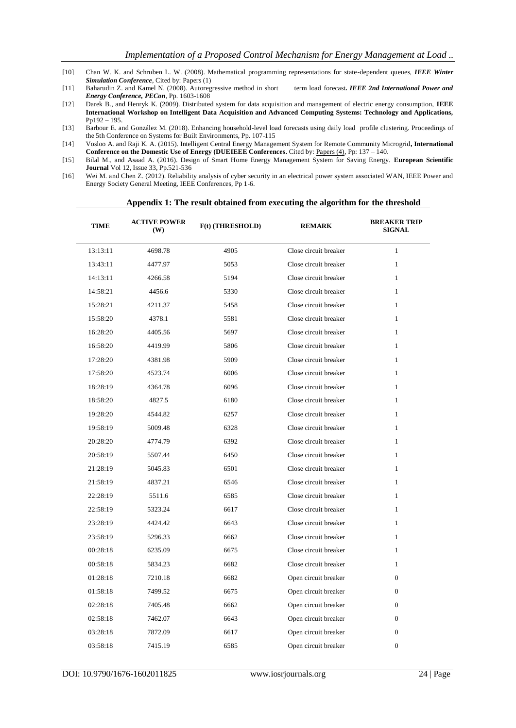- [10] Chan W. K. and Schruben L. W. (2008). Mathematical programming representations for state-dependent queues, *IEEE Winter Simulation Conference*, Cited by: Papers (1)
- [11] Baharudin Z. and Kamel N. (2008). Autoregressive method in short term load forecast*. IEEE 2nd International Power and Energy Conference, PECon*, Pp. 1603-1608
- [12] Darek B., and Henryk K. (2009). Distributed system for data acquisition and management of electric energy consumption, **IEEE International Workshop on Intelligent Data Acquisition and Advanced Computing Systems: Technology and Applications,** Pp192 – 195.
- [13] Barbour E. and González M. (2018). Enhancing household-level load forecasts using daily load profile clustering. Proceedings of the 5th Conference on Systems for Built Environments, Pp. 107-115
- [14] Vosloo A. and Raji K. A. (2015). Intelligent Central Energy Management System for Remote Community Microgrid**, International Conference on the Domestic Use of Energy (DUEIEEE Conferences.** Cited by: [Papers \(4\),](https://ieeexplore.ieee.org/document/7102973/citations?tabFilter=papers#citations) Pp: 137 – 140.
- [15] Bilal M., and Asaad A. (2016). Design of Smart Home Energy Management System for Saving Energy. **European Scientific Journal** Vol 12, Issue 33, Pp.521-536
- [16] Wei M. and Chen Z. (2012). Reliability analysis of cyber security in an electrical power system associated WAN, IEEE Power and Energy Society General Meeting, IEEE Conferences, Pp 1-6.

**Appendix 1: The result obtained from executing the algorithm for the threshold**

| <b>TIME</b> | <b>ACTIVE POWER</b><br><b>(W)</b> | F(t) (THRESHOLD) | <b>REMARK</b>         | <b>BREAKER TRIP</b><br><b>SIGNAL</b> |
|-------------|-----------------------------------|------------------|-----------------------|--------------------------------------|
| 13:13:11    | 4698.78                           | 4905             | Close circuit breaker | $\mathbf{1}$                         |
| 13:43:11    | 4477.97                           | 5053             | Close circuit breaker | $\mathbf{1}$                         |
| 14:13:11    | 4266.58                           | 5194             | Close circuit breaker | $\mathbf{1}$                         |
| 14:58:21    | 4456.6                            | 5330             | Close circuit breaker | $\mathbf{1}$                         |
| 15:28:21    | 4211.37                           | 5458             | Close circuit breaker | $\mathbf{1}$                         |
| 15:58:20    | 4378.1                            | 5581             | Close circuit breaker | $\mathbf{1}$                         |
| 16:28:20    | 4405.56                           | 5697             | Close circuit breaker | $\mathbf{1}$                         |
| 16:58:20    | 4419.99                           | 5806             | Close circuit breaker | $\mathbf{1}$                         |
| 17:28:20    | 4381.98                           | 5909             | Close circuit breaker | $\mathbf{1}$                         |
| 17:58:20    | 4523.74                           | 6006             | Close circuit breaker | $\mathbf{1}$                         |
| 18:28:19    | 4364.78                           | 6096             | Close circuit breaker | $\mathbf{1}$                         |
| 18:58:20    | 4827.5                            | 6180             | Close circuit breaker | $\mathbf{1}$                         |
| 19:28:20    | 4544.82                           | 6257             | Close circuit breaker | $\mathbf{1}$                         |
| 19:58:19    | 5009.48                           | 6328             | Close circuit breaker | 1                                    |
| 20:28:20    | 4774.79                           | 6392             | Close circuit breaker | $\mathbf{1}$                         |
| 20:58:19    | 5507.44                           | 6450             | Close circuit breaker | $\mathbf{1}$                         |
| 21:28:19    | 5045.83                           | 6501             | Close circuit breaker | $\mathbf{1}$                         |
| 21:58:19    | 4837.21                           | 6546             | Close circuit breaker | $\mathbf{1}$                         |
| 22:28:19    | 5511.6                            | 6585             | Close circuit breaker | $\mathbf{1}$                         |
| 22:58:19    | 5323.24                           | 6617             | Close circuit breaker | $\mathbf{1}$                         |
| 23:28:19    | 4424.42                           | 6643             | Close circuit breaker | $\mathbf{1}$                         |
| 23:58:19    | 5296.33                           | 6662             | Close circuit breaker | $\mathbf{1}$                         |
| 00:28:18    | 6235.09                           | 6675             | Close circuit breaker | $\mathbf{1}$                         |
| 00:58:18    | 5834.23                           | 6682             | Close circuit breaker | $\mathbf{1}$                         |
| 01:28:18    | 7210.18                           | 6682             | Open circuit breaker  | $\Omega$                             |
| 01:58:18    | 7499.52                           | 6675             | Open circuit breaker  | $\overline{0}$                       |
| 02:28:18    | 7405.48                           | 6662             | Open circuit breaker  | $\mathbf{0}$                         |
| 02:58:18    | 7462.07                           | 6643             | Open circuit breaker  | $\Omega$                             |
| 03:28:18    | 7872.09                           | 6617             | Open circuit breaker  | $\mathbf{0}$                         |
| 03:58:18    | 7415.19                           | 6585             | Open circuit breaker  | $\mathbf{0}$                         |